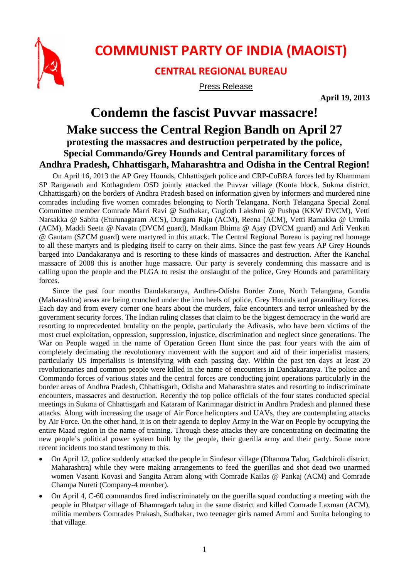

## **COMMUNIST PARTY OF INDIA (MAOIST)**

## **CENTRAL REGIONAL BUREAU**

Press Release

**April 19, 2013** 

## **Condemn the fascist Puvvar massacre! Make success the Central Region Bandh on April 27 protesting the massacres and destruction perpetrated by the police, Special Commando/Grey Hounds and Central paramilitary forces of Andhra Pradesh, Chhattisgarh, Maharashtra and Odisha in the Central Region!**

On April 16, 2013 the AP Grey Hounds, Chhattisgarh police and CRP-CoBRA forces led by Khammam SP Ranganath and Kothagudem OSD jointly attacked the Puvvar village (Konta block, Sukma district, Chhattisgarh) on the borders of Andhra Pradesh based on information given by informers and murdered nine comrades including five women comrades belonging to North Telangana. North Telangana Special Zonal Committee member Comrade Marri Ravi @ Sudhakar, Gugloth Lakshmi @ Pushpa (KKW DVCM), Vetti Narsakka @ Sabita (Eturunagaram ACS), Durgam Raju (ACM), Reena (ACM), Vetti Ramakka @ Urmila (ACM), Maddi Seeta @ Navata (DVCM guard), Madkam Bhima @ Ajay (DVCM guard) and Arli Venkati @ Gautam (SZCM guard) were martyred in this attack. The Central Regional Bureau is paying red homage to all these martyrs and is pledging itself to carry on their aims. Since the past few years AP Grey Hounds barged into Dandakaranya and is resorting to these kinds of massacres and destruction. After the Kanchal massacre of 2008 this is another huge massacre. Our party is severely condemning this massacre and is calling upon the people and the PLGA to resist the onslaught of the police, Grey Hounds and paramilitary forces.

Since the past four months Dandakaranya, Andhra-Odisha Border Zone, North Telangana, Gondia (Maharashtra) areas are being crunched under the iron heels of police, Grey Hounds and paramilitary forces. Each day and from every corner one hears about the murders, fake encounters and terror unleashed by the government security forces. The Indian ruling classes that claim to be the biggest democracy in the world are resorting to unprecedented brutality on the people, particularly the Adivasis, who have been victims of the most cruel exploitation, oppression, suppression, injustice, discrimination and neglect since generations. The War on People waged in the name of Operation Green Hunt since the past four years with the aim of completely decimating the revolutionary movement with the support and aid of their imperialist masters, particularly US imperialists is intensifying with each passing day. Within the past ten days at least 20 revolutionaries and common people were killed in the name of encounters in Dandakaranya. The police and Commando forces of various states and the central forces are conducting joint operations particularly in the border areas of Andhra Pradesh, Chhattisgarh, Odisha and Maharashtra states and resorting to indiscriminate encounters, massacres and destruction. Recently the top police officials of the four states conducted special meetings in Sukma of Chhattisgarh and Kataram of Karimnagar district in Andhra Pradesh and planned these attacks. Along with increasing the usage of Air Force helicopters and UAVs, they are contemplating attacks by Air Force. On the other hand, it is on their agenda to deploy Army in the War on People by occupying the entire Maad region in the name of training. Through these attacks they are concentrating on decimating the new people's political power system built by the people, their guerilla army and their party. Some more recent incidents too stand testimony to this.

- On April 12, police suddenly attacked the people in Sindesur village (Dhanora Taluq, Gadchiroli district, Maharashtra) while they were making arrangements to feed the guerillas and shot dead two unarmed women Vasanti Kovasi and Sangita Atram along with Comrade Kailas @ Pankaj (ACM) and Comrade Champa Nureti (Company-4 member).
- On April 4, C-60 commandos fired indiscriminately on the guerilla squad conducting a meeting with the people in Bhatpar village of Bhamragarh taluq in the same district and killed Comrade Laxman (ACM), militia members Comrades Prakash, Sudhakar, two teenager girls named Ammi and Sunita belonging to that village.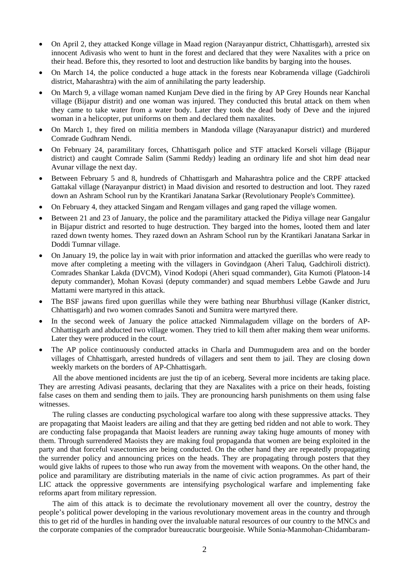- On April 2, they attacked Konge village in Maad region (Narayanpur district, Chhattisgarh), arrested six innocent Adivasis who went to hunt in the forest and declared that they were Naxalites with a price on their head. Before this, they resorted to loot and destruction like bandits by barging into the houses.
- On March 14, the police conducted a huge attack in the forests near Kobramenda village (Gadchiroli district, Maharashtra) with the aim of annihilating the party leadership.
- On March 9, a village woman named Kunjam Deve died in the firing by AP Grey Hounds near Kanchal village (Bijapur distrit) and one woman was injured. They conducted this brutal attack on them when they came to take water from a water body. Later they took the dead body of Deve and the injured woman in a helicopter, put uniforms on them and declared them naxalites.
- On March 1, they fired on militia members in Mandoda village (Narayanapur district) and murdered Comrade Gudhram Nendi.
- On February 24, paramilitary forces, Chhattisgarh police and STF attacked Korseli village (Bijapur district) and caught Comrade Salim (Sammi Reddy) leading an ordinary life and shot him dead near Avunar village the next day.
- Between February 5 and 8, hundreds of Chhattisgarh and Maharashtra police and the CRPF attacked Gattakal village (Narayanpur district) in Maad division and resorted to destruction and loot. They razed down an Ashram School run by the Krantikari Janatana Sarkar (Revolutionary People's Committee).
- On February 4, they attacked Singam and Rengam villages and gang raped the village women.
- Between 21 and 23 of January, the police and the paramilitary attacked the Pidiya village near Gangalur in Bijapur district and resorted to huge destruction. They barged into the homes, looted them and later razed down twenty homes. They razed down an Ashram School run by the Krantikari Janatana Sarkar in Doddi Tumnar village.
- On January 19, the police lay in wait with prior information and attacked the guerillas who were ready to move after completing a meeting with the villagers in Govindgaon (Aheri Taluq, Gadchiroli district). Comrades Shankar Lakda (DVCM), Vinod Kodopi (Aheri squad commander), Gita Kumoti (Platoon-14 deputy commander), Mohan Kovasi (deputy commander) and squad members Lebbe Gawde and Juru Mattami were martyred in this attack.
- The BSF jawans fired upon guerillas while they were bathing near Bhurbhusi village (Kanker district, Chhattisgarh) and two women comrades Sanoti and Sumitra were martyred there.
- In the second week of January the police attacked Nimmalagudem village on the borders of AP-Chhattisgarh and abducted two village women. They tried to kill them after making them wear uniforms. Later they were produced in the court.
- The AP police continuously conducted attacks in Charla and Dummugudem area and on the border villages of Chhattisgarh, arrested hundreds of villagers and sent them to jail. They are closing down weekly markets on the borders of AP-Chhattisgarh.

All the above mentioned incidents are just the tip of an iceberg. Several more incidents are taking place. They are arresting Adivasi peasants, declaring that they are Naxalites with a price on their heads, foisting false cases on them and sending them to jails. They are pronouncing harsh punishments on them using false witnesses.

The ruling classes are conducting psychological warfare too along with these suppressive attacks. They are propagating that Maoist leaders are ailing and that they are getting bed ridden and not able to work. They are conducting false propaganda that Maoist leaders are running away taking huge amounts of money with them. Through surrendered Maoists they are making foul propaganda that women are being exploited in the party and that forceful vasectomies are being conducted. On the other hand they are repeatedly propagating the surrender policy and announcing prices on the heads. They are propagating through posters that they would give lakhs of rupees to those who run away from the movement with weapons. On the other hand, the police and paramilitary are distributing materials in the name of civic action programmes. As part of their LIC attack the oppressive governments are intensifying psychological warfare and implementing fake reforms apart from military repression.

The aim of this attack is to decimate the revolutionary movement all over the country, destroy the people's political power developing in the various revolutionary movement areas in the country and through this to get rid of the hurdles in handing over the invaluable natural resources of our country to the MNCs and the corporate companies of the comprador bureaucratic bourgeoisie. While Sonia-Manmohan-Chidambaram